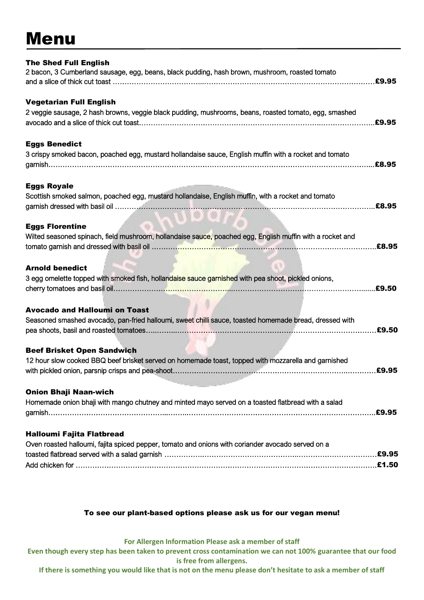## Menu

| <b>The Shed Full English</b><br>2 bacon, 3 Cumberland sausage, egg, beans, black pudding, hash brown, mushroom, roasted tomato                    |  |
|---------------------------------------------------------------------------------------------------------------------------------------------------|--|
| <b>Vegetarian Full English</b><br>2 veggie sausage, 2 hash browns, veggie black pudding, mushrooms, beans, roasted tomato, egg, smashed           |  |
| <b>Eggs Benedict</b>                                                                                                                              |  |
| 3 crispy smoked bacon, poached egg, mustard hollandaise sauce, English muffin with a rocket and tomato                                            |  |
| <b>Eggs Royale</b><br>Scottish smoked salmon, poached egg, mustard hollandaise, English muffin, with a rocket and tomato                          |  |
| <b>Eggs Florentine</b><br>Wilted seasoned spinach, field mushroom, hollandaise sauce, poached egg, English muffin with a rocket and<br>£8.95      |  |
| <b>Arnold benedict</b><br>3 egg omelette topped with smoked fish, hollandaise sauce garnished with pea shoot, pickled onions,<br>.£9.50           |  |
| <b>Avocado and Halloumi on Toast</b><br>Seasoned smashed avocado, pan-fried halloumi, sweet chilli sauce, toasted homemade bread, dressed with    |  |
| <b>Beef Brisket Open Sandwich</b><br>12 hour slow cooked BBQ beef brisket served on homemade toast, topped with mozzarella and garnished<br>£9.95 |  |
| <b>Onion Bhaji Naan-wich</b><br>Homemade onion bhaji with mango chutney and minted mayo served on a toasted flatbread with a salad                |  |
| Halloumi Fajita Flatbread<br>Oven roasted halloumi, fajita spiced pepper, tomato and onions with coriander avocado served on a                    |  |

## To see our plant-based options please ask us for our vegan menu!

**For Allergen Information Please ask a member of staff**

**Even though every step has been taken to prevent cross contamination we can not 100% guarantee that our food is free from allergens.**

**If there is something you would like that is not on the menu please don't hesitate to ask a member of staff**